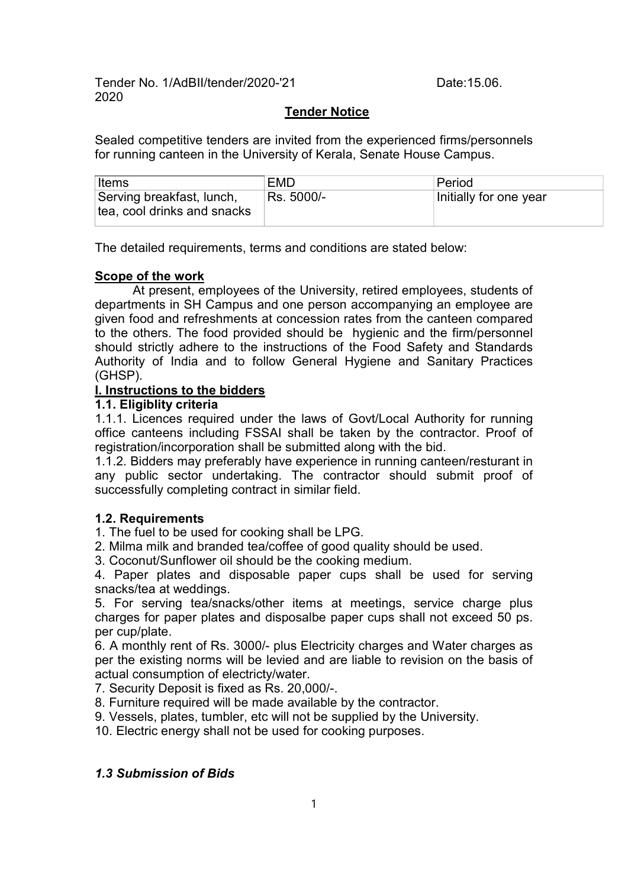Tender No. 1/AdBII/tender/2020-'21 Date:15.06. 2020

### Tender Notice

Sealed competitive tenders are invited from the experienced firms/personnels for running canteen in the University of Kerala, Senate House Campus.

| Items                                                    | <b>EMD</b> | Period                 |
|----------------------------------------------------------|------------|------------------------|
| Serving breakfast, lunch,<br>tea, cool drinks and snacks | Rs. 5000/- | Initially for one year |

The detailed requirements, terms and conditions are stated below:

### Scope of the work

At present, employees of the University, retired employees, students of departments in SH Campus and one person accompanying an employee are given food and refreshments at concession rates from the canteen compared to the others. The food provided should be hygienic and the firm/personnel should strictly adhere to the instructions of the Food Safety and Standards Authority of India and to follow General Hygiene and Sanitary Practices (GHSP).

### I. Instructions to the bidders

### 1.1. Eligiblity criteria

1.1.1. Licences required under the laws of Govt/Local Authority for running office canteens including FSSAI shall be taken by the contractor. Proof of registration/incorporation shall be submitted along with the bid.

1.1.2. Bidders may preferably have experience in running canteen/resturant in any public sector undertaking. The contractor should submit proof of successfully completing contract in similar field.

### 1.2. Requirements

1. The fuel to be used for cooking shall be LPG.

2. Milma milk and branded tea/coffee of good quality should be used.

3. Coconut/Sunflower oil should be the cooking medium.

4. Paper plates and disposable paper cups shall be used for serving snacks/tea at weddings.

5. For serving tea/snacks/other items at meetings, service charge plus charges for paper plates and disposalbe paper cups shall not exceed 50 ps. per cup/plate.

6. A monthly rent of Rs. 3000/- plus Electricity charges and Water charges as per the existing norms will be levied and are liable to revision on the basis of actual consumption of electricty/water.

7. Security Deposit is fixed as Rs. 20,000/-.

8. Furniture required will be made available by the contractor.

9. Vessels, plates, tumbler, etc will not be supplied by the University.

10. Electric energy shall not be used for cooking purposes.

### 1.3 Submission of Bids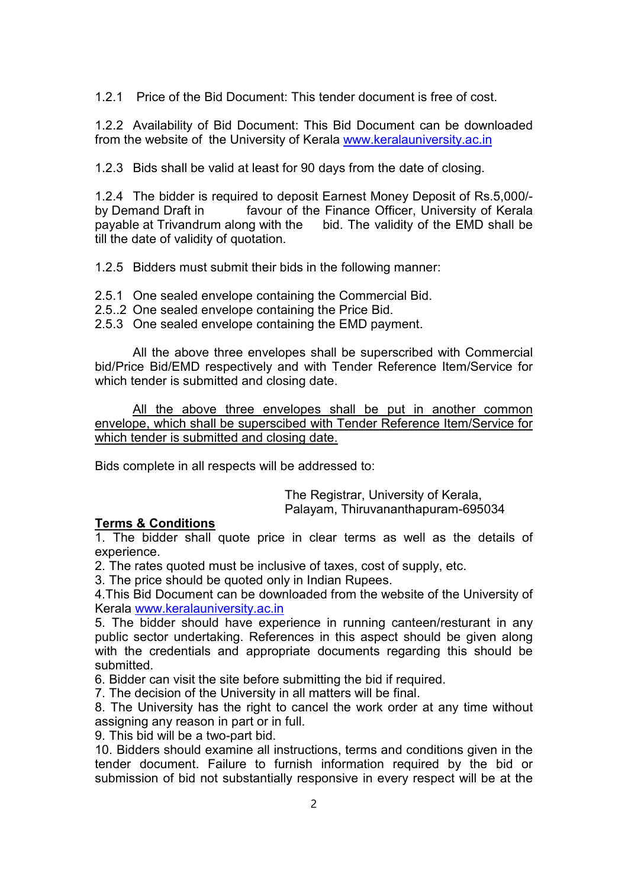1.2.1 Price of the Bid Document: This tender document is free of cost.

1.2.2 Availability of Bid Document: This Bid Document can be downloaded from the website of the University of Kerala www.keralauniversity.ac.in

1.2.3 Bids shall be valid at least for 90 days from the date of closing.

1.2.4 The bidder is required to deposit Earnest Money Deposit of Rs.5,000/ by Demand Draft in favour of the Finance Officer, University of Kerala payable at Trivandrum along with the bid. The validity of the EMD shall be till the date of validity of quotation.

1.2.5 Bidders must submit their bids in the following manner:

- 2.5.1 One sealed envelope containing the Commercial Bid.
- 2.5..2 One sealed envelope containing the Price Bid.
- 2.5.3 One sealed envelope containing the EMD payment.

All the above three envelopes shall be superscribed with Commercial bid/Price Bid/EMD respectively and with Tender Reference Item/Service for which tender is submitted and closing date.

All the above three envelopes shall be put in another common envelope, which shall be superscibed with Tender Reference Item/Service for which tender is submitted and closing date.

Bids complete in all respects will be addressed to:

The Registrar, University of Kerala, Palayam, Thiruvananthapuram-695034

### Terms & Conditions

1. The bidder shall quote price in clear terms as well as the details of experience.

2. The rates quoted must be inclusive of taxes, cost of supply, etc.

3. The price should be quoted only in Indian Rupees.

4.This Bid Document can be downloaded from the website of the University of Kerala www.keralauniversity.ac.in

5. The bidder should have experience in running canteen/resturant in any public sector undertaking. References in this aspect should be given along with the credentials and appropriate documents regarding this should be submitted.

6. Bidder can visit the site before submitting the bid if required.

7. The decision of the University in all matters will be final.

8. The University has the right to cancel the work order at any time without assigning any reason in part or in full.

9. This bid will be a two-part bid.

10. Bidders should examine all instructions, terms and conditions given in the tender document. Failure to furnish information required by the bid or submission of bid not substantially responsive in every respect will be at the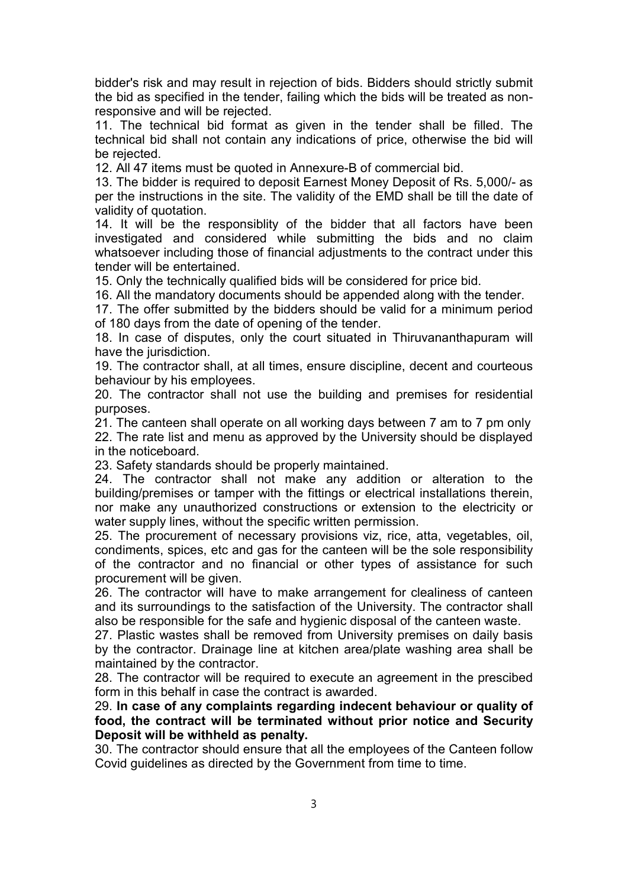bidder's risk and may result in rejection of bids. Bidders should strictly submit the bid as specified in the tender, failing which the bids will be treated as nonresponsive and will be rejected.

11. The technical bid format as given in the tender shall be filled. The technical bid shall not contain any indications of price, otherwise the bid will be rejected.

12. All 47 items must be quoted in Annexure-B of commercial bid.

13. The bidder is required to deposit Earnest Money Deposit of Rs. 5,000/- as per the instructions in the site. The validity of the EMD shall be till the date of validity of quotation.

14. It will be the responsiblity of the bidder that all factors have been investigated and considered while submitting the bids and no claim whatsoever including those of financial adjustments to the contract under this tender will be entertained.

15. Only the technically qualified bids will be considered for price bid.

16. All the mandatory documents should be appended along with the tender.

17. The offer submitted by the bidders should be valid for a minimum period of 180 days from the date of opening of the tender.

18. In case of disputes, only the court situated in Thiruvananthapuram will have the jurisdiction.

19. The contractor shall, at all times, ensure discipline, decent and courteous behaviour by his employees.

20. The contractor shall not use the building and premises for residential purposes.

21. The canteen shall operate on all working days between 7 am to 7 pm only 22. The rate list and menu as approved by the University should be displayed in the noticeboard.

23. Safety standards should be properly maintained.

24. The contractor shall not make any addition or alteration to the building/premises or tamper with the fittings or electrical installations therein, nor make any unauthorized constructions or extension to the electricity or water supply lines, without the specific written permission.

25. The procurement of necessary provisions viz, rice, atta, vegetables, oil, condiments, spices, etc and gas for the canteen will be the sole responsibility of the contractor and no financial or other types of assistance for such procurement will be given.

26. The contractor will have to make arrangement for clealiness of canteen and its surroundings to the satisfaction of the University. The contractor shall also be responsible for the safe and hygienic disposal of the canteen waste.

27. Plastic wastes shall be removed from University premises on daily basis by the contractor. Drainage line at kitchen area/plate washing area shall be maintained by the contractor.

28. The contractor will be required to execute an agreement in the prescibed form in this behalf in case the contract is awarded.

29. In case of any complaints regarding indecent behaviour or quality of food, the contract will be terminated without prior notice and Security Deposit will be withheld as penalty.

30. The contractor should ensure that all the employees of the Canteen follow Covid guidelines as directed by the Government from time to time.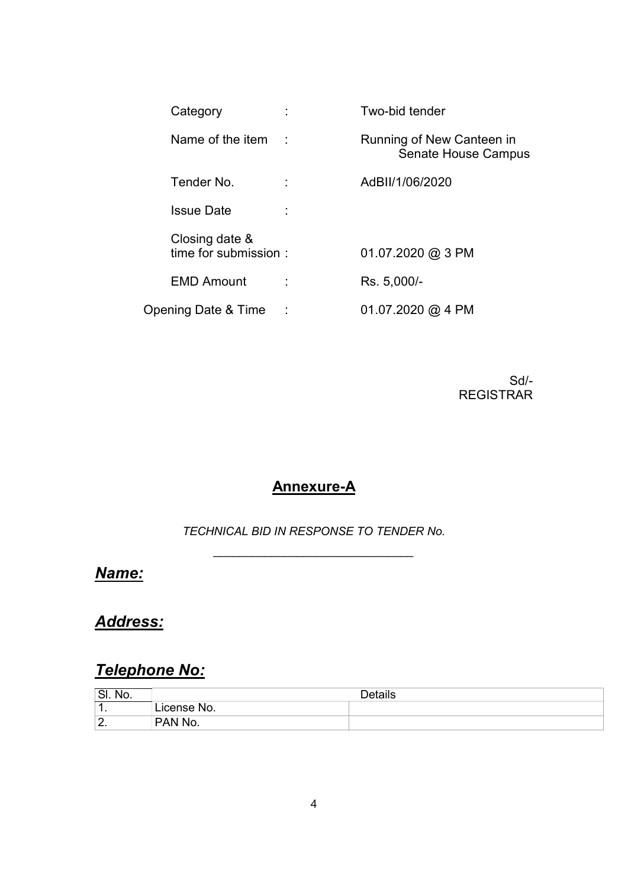| Category                               | Two-bid tender                                          |
|----------------------------------------|---------------------------------------------------------|
| Name of the item                       | Running of New Canteen in<br><b>Senate House Campus</b> |
| Tender No.                             | AdBII/1/06/2020                                         |
| <b>Issue Date</b>                      |                                                         |
| Closing date &<br>time for submission: | $01.07.2020$ @ 3 PM                                     |
| <b>EMD Amount</b>                      | Rs. 5,000/-                                             |
| Opening Date & Time                    | 01.07.2020 @ 4 PM                                       |

Sd/- REGISTRAR

### Annexure-A

TECHNICAL BID IN RESPONSE TO TENDER No. \_\_\_\_\_\_\_\_\_\_\_\_\_\_\_\_\_\_\_\_\_\_\_\_\_\_\_\_\_\_\_

Name:

Address:

# Telephone No:

| 'SI.<br>No.         |               | <b>Details</b> |
|---------------------|---------------|----------------|
| ◢<br>. .            | icense<br>No. |                |
| ົ<br><u>.</u><br>-- | <b>PAN No</b> |                |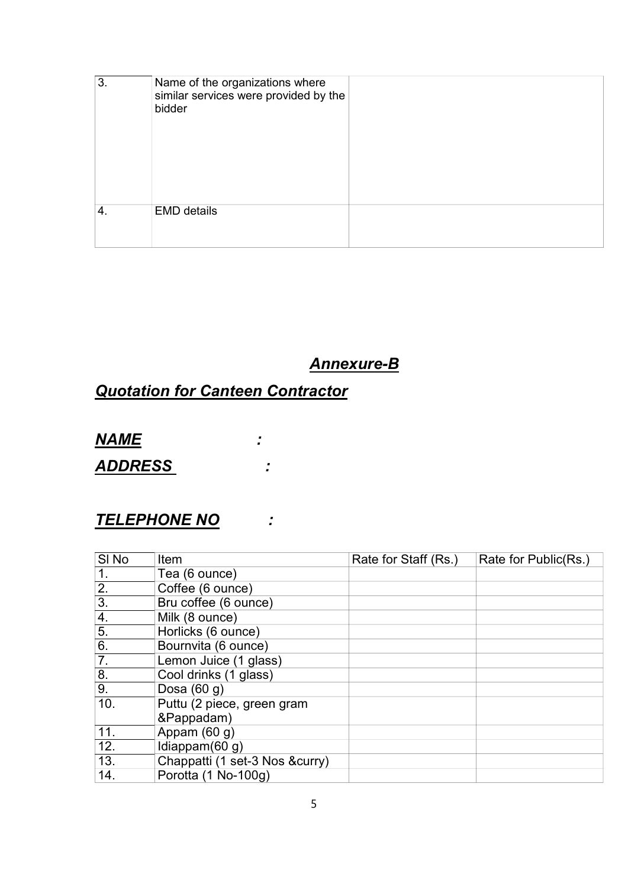| 3. | Name of the organizations where<br>similar services were provided by the<br>bidder |  |
|----|------------------------------------------------------------------------------------|--|
| 4. | <b>EMD</b> details                                                                 |  |

Annexure-B

# Quotation for Canteen Contractor

NAME :

ADDRESS :

## TELEPHONE NO :

| SI <sub>No</sub> | Item                            | Rate for Staff (Rs.) | Rate for Public(Rs.) |
|------------------|---------------------------------|----------------------|----------------------|
| $\overline{1}$ . | Tea (6 ounce)                   |                      |                      |
| 2.               | Coffee (6 ounce)                |                      |                      |
| $\overline{3}$ . | Bru coffee (6 ounce)            |                      |                      |
| 4.               | Milk (8 ounce)                  |                      |                      |
| 5.               | Horlicks (6 ounce)              |                      |                      |
| 6.               | Bournvita (6 ounce)             |                      |                      |
| 7.               | Lemon Juice (1 glass)           |                      |                      |
| 8.               | Cool drinks (1 glass)           |                      |                      |
| 9.               | Dosa $(60 g)$                   |                      |                      |
| 10.              | Puttu (2 piece, green gram      |                      |                      |
|                  | &Pappadam)                      |                      |                      |
| 11.              | Appam $(60 g)$                  |                      |                      |
| 12.              | Idiappam $(60 g)$               |                      |                      |
| 13.              | Chappatti (1 set-3 Nos & curry) |                      |                      |
| 14.              | Porotta (1 No-100g)             |                      |                      |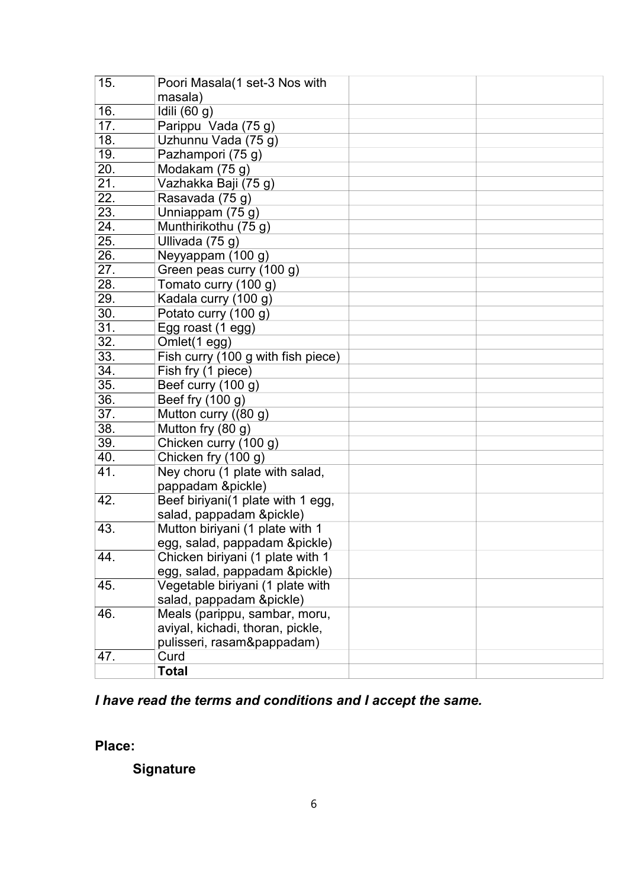| 15. | Poori Masala(1 set-3 Nos with      |  |
|-----|------------------------------------|--|
|     | masala)                            |  |
| 16. | Idili (60 g)                       |  |
| 17. | Parippu Vada (75 g)                |  |
| 18. | Uzhunnu Vada (75 g)                |  |
| 19. | Pazhampori (75 g)                  |  |
| 20. | Modakam (75 g)                     |  |
| 21. | Vazhakka Baji (75 g)               |  |
| 22. | Rasavada (75 g)                    |  |
| 23. | Unniappam (75 g)                   |  |
| 24. | Munthirikothu (75 g)               |  |
| 25. | Ullivada (75 g)                    |  |
| 26. | Neyyappam (100 g)                  |  |
| 27. | Green peas curry (100 g)           |  |
| 28. | Tomato curry (100 g)               |  |
| 29. | Kadala curry (100 g)               |  |
| 30. | Potato curry (100 g)               |  |
| 31. | Egg roast (1 egg)                  |  |
| 32. | Omlet(1 egg)                       |  |
| 33. | Fish curry (100 g with fish piece) |  |
| 34. | Fish fry (1 piece)                 |  |
| 35. | Beef curry (100 g)                 |  |
| 36. | Beef fry (100 g)                   |  |
| 37. | Mutton curry ((80 g)               |  |
| 38. | Mutton fry (80 g)                  |  |
| 39. | Chicken curry (100 g)              |  |
| 40. | Chicken fry (100 g)                |  |
| 41. | Ney choru (1 plate with salad,     |  |
|     | pappadam &pickle)                  |  |
| 42. | Beef biriyani(1 plate with 1 egg,  |  |
|     | salad, pappadam &pickle)           |  |
| 43. | Mutton biriyani (1 plate with 1    |  |
|     | egg, salad, pappadam &pickle)      |  |
| 44. | Chicken biriyani (1 plate with 1   |  |
|     | egg, salad, pappadam &pickle)      |  |
| 45. | Vegetable biriyani (1 plate with   |  |
|     | salad, pappadam &pickle)           |  |
| 46. | Meals (parippu, sambar, moru,      |  |
|     | aviyal, kichadi, thoran, pickle,   |  |
|     | pulisseri, rasam&pappadam)         |  |
| 47. | Curd                               |  |
|     | <b>Total</b>                       |  |

# I have read the terms and conditions and I accept the same.

Place:

**Signature**